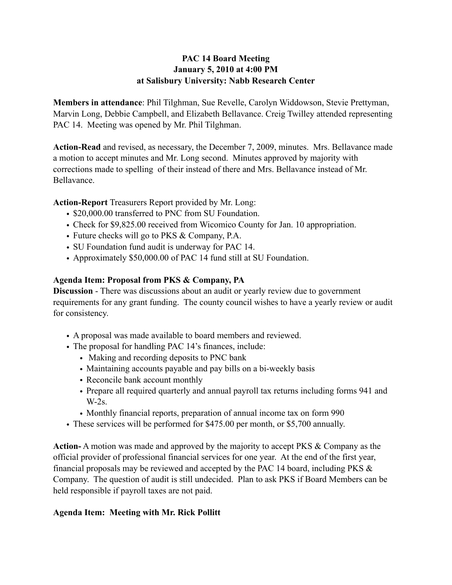# **PAC 14 Board Meeting January 5, 2010 at 4:00 PM at Salisbury University: Nabb Research Center**

**Members in attendance**: Phil Tilghman, Sue Revelle, Carolyn Widdowson, Stevie Prettyman, Marvin Long, Debbie Campbell, and Elizabeth Bellavance. Creig Twilley attended representing PAC 14. Meeting was opened by Mr. Phil Tilghman.

**Action-Read** and revised, as necessary, the December 7, 2009, minutes. Mrs. Bellavance made a motion to accept minutes and Mr. Long second. Minutes approved by majority with corrections made to spelling of their instead of there and Mrs. Bellavance instead of Mr. Bellavance.

**Action-Report** Treasurers Report provided by Mr. Long:

- \$20,000.00 transferred to PNC from SU Foundation.
- Check for \$9,825.00 received from Wicomico County for Jan. 10 appropriation.
- Future checks will go to PKS & Company, P.A.
- SU Foundation fund audit is underway for PAC 14.
- Approximately \$50,000.00 of PAC 14 fund still at SU Foundation.

# **Agenda Item: Proposal from PKS & Company, PA**

**Discussion** - There was discussions about an audit or yearly review due to government requirements for any grant funding. The county council wishes to have a yearly review or audit for consistency.

- A proposal was made available to board members and reviewed.
- The proposal for handling PAC 14's finances, include:
	- Making and recording deposits to PNC bank
	- Maintaining accounts payable and pay bills on a bi-weekly basis
	- Reconcile bank account monthly
	- Prepare all required quarterly and annual payroll tax returns including forms 941 and W-2s.
	- Monthly financial reports, preparation of annual income tax on form 990
- These services will be performed for \$475.00 per month, or \$5,700 annually.

**Action-** A motion was made and approved by the majority to accept PKS & Company as the official provider of professional financial services for one year. At the end of the first year, financial proposals may be reviewed and accepted by the PAC 14 board, including PKS & Company. The question of audit is still undecided. Plan to ask PKS if Board Members can be held responsible if payroll taxes are not paid.

# **Agenda Item: Meeting with Mr. Rick Pollitt**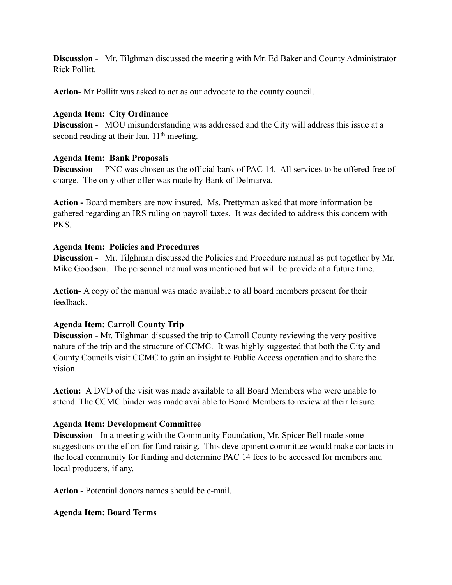**Discussion** - Mr. Tilghman discussed the meeting with Mr. Ed Baker and County Administrator Rick Pollitt.

**Action-** Mr Pollitt was asked to act as our advocate to the county council.

### **Agenda Item: City Ordinance**

**Discussion** - MOU misunderstanding was addressed and the City will address this issue at a second reading at their Jan. 11<sup>th</sup> meeting.

#### **Agenda Item: Bank Proposals**

**Discussion** - PNC was chosen as the official bank of PAC 14. All services to be offered free of charge. The only other offer was made by Bank of Delmarva.

**Action -** Board members are now insured. Ms. Prettyman asked that more information be gathered regarding an IRS ruling on payroll taxes. It was decided to address this concern with PKS.

#### **Agenda Item: Policies and Procedures**

**Discussion** - Mr. Tilghman discussed the Policies and Procedure manual as put together by Mr. Mike Goodson. The personnel manual was mentioned but will be provide at a future time.

**Action-** A copy of the manual was made available to all board members present for their feedback.

### **Agenda Item: Carroll County Trip**

**Discussion** - Mr. Tilghman discussed the trip to Carroll County reviewing the very positive nature of the trip and the structure of CCMC. It was highly suggested that both the City and County Councils visit CCMC to gain an insight to Public Access operation and to share the vision.

**Action:** A DVD of the visit was made available to all Board Members who were unable to attend. The CCMC binder was made available to Board Members to review at their leisure.

### **Agenda Item: Development Committee**

**Discussion** - In a meeting with the Community Foundation, Mr. Spicer Bell made some suggestions on the effort for fund raising. This development committee would make contacts in the local community for funding and determine PAC 14 fees to be accessed for members and local producers, if any.

**Action -** Potential donors names should be e-mail.

#### **Agenda Item: Board Terms**